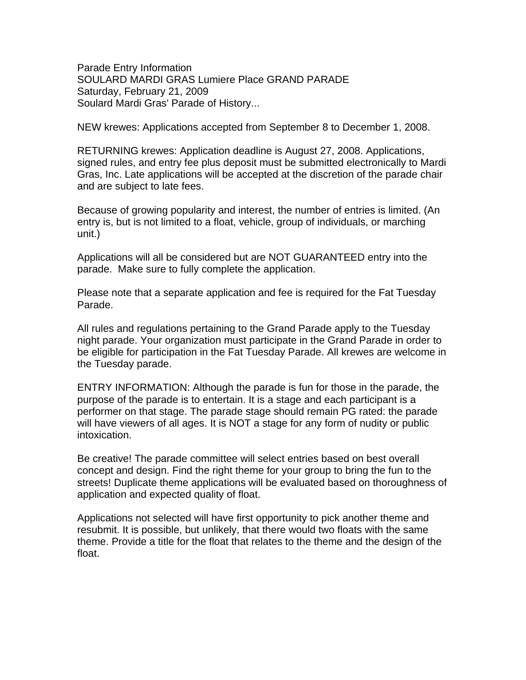Parade Entry Information SOULARD MARDI GRAS Lumiere Place GRAND PARADE Saturday, February 21, 2009 Soulard Mardi Gras' Parade of History...

NEW krewes: Applications accepted from September 8 to December 1, 2008.

RETURNING krewes: Application deadline is August 27, 2008. Applications, signed rules, and entry fee plus deposit must be submitted electronically to Mardi Gras, Inc. Late applications will be accepted at the discretion of the parade chair and are subject to late fees.

Because of growing popularity and interest, the number of entries is limited. (An entry is, but is not limited to a float, vehicle, group of individuals, or marching unit.)

Applications will all be considered but are NOT GUARANTEED entry into the parade. Make sure to fully complete the application.

Please note that a separate application and fee is required for the Fat Tuesday Parade.

All rules and regulations pertaining to the Grand Parade apply to the Tuesday night parade. Your organization must participate in the Grand Parade in order to be eligible for participation in the Fat Tuesday Parade. All krewes are welcome in the Tuesday parade.

ENTRY INFORMATION: Although the parade is fun for those in the parade, the purpose of the parade is to entertain. It is a stage and each participant is a performer on that stage. The parade stage should remain PG rated: the parade will have viewers of all ages. It is NOT a stage for any form of nudity or public intoxication.

Be creative! The parade committee will select entries based on best overall concept and design. Find the right theme for your group to bring the fun to the streets! Duplicate theme applications will be evaluated based on thoroughness of application and expected quality of float.

Applications not selected will have first opportunity to pick another theme and resubmit. It is possible, but unlikely, that there would two floats with the same theme. Provide a title for the float that relates to the theme and the design of the float.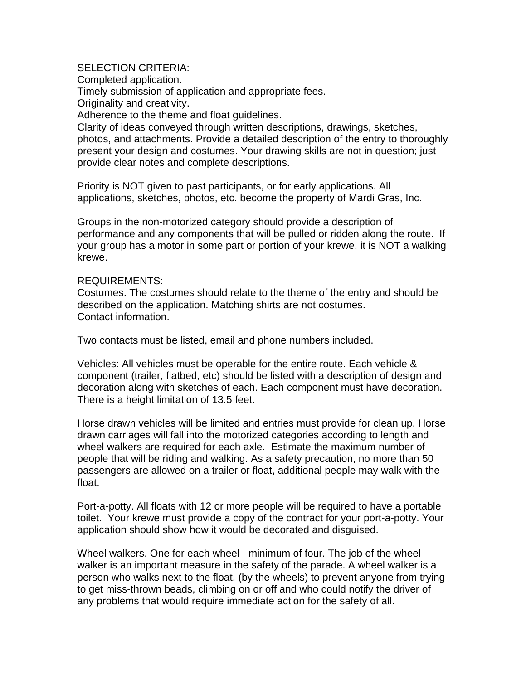## SELECTION CRITERIA:

Completed application.

Timely submission of application and appropriate fees.

Originality and creativity.

Adherence to the theme and float guidelines.

Clarity of ideas conveyed through written descriptions, drawings, sketches, photos, and attachments. Provide a detailed description of the entry to thoroughly present your design and costumes. Your drawing skills are not in question; just provide clear notes and complete descriptions.

Priority is NOT given to past participants, or for early applications. All applications, sketches, photos, etc. become the property of Mardi Gras, Inc.

Groups in the non-motorized category should provide a description of performance and any components that will be pulled or ridden along the route. If your group has a motor in some part or portion of your krewe, it is NOT a walking krewe.

### REQUIREMENTS:

Costumes. The costumes should relate to the theme of the entry and should be described on the application. Matching shirts are not costumes. Contact information.

Two contacts must be listed, email and phone numbers included.

Vehicles: All vehicles must be operable for the entire route. Each vehicle & component (trailer, flatbed, etc) should be listed with a description of design and decoration along with sketches of each. Each component must have decoration. There is a height limitation of 13.5 feet.

Horse drawn vehicles will be limited and entries must provide for clean up. Horse drawn carriages will fall into the motorized categories according to length and wheel walkers are required for each axle. Estimate the maximum number of people that will be riding and walking. As a safety precaution, no more than 50 passengers are allowed on a trailer or float, additional people may walk with the float.

Port-a-potty. All floats with 12 or more people will be required to have a portable toilet. Your krewe must provide a copy of the contract for your port-a-potty. Your application should show how it would be decorated and disguised.

Wheel walkers. One for each wheel - minimum of four. The job of the wheel walker is an important measure in the safety of the parade. A wheel walker is a person who walks next to the float, (by the wheels) to prevent anyone from trying to get miss-thrown beads, climbing on or off and who could notify the driver of any problems that would require immediate action for the safety of all.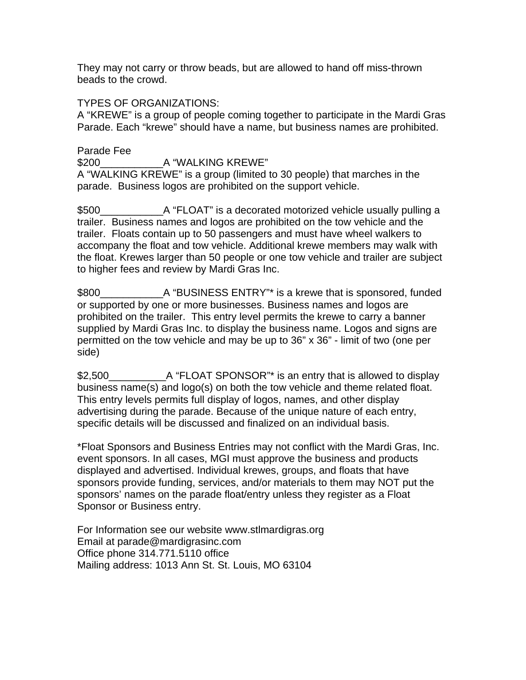They may not carry or throw beads, but are allowed to hand off miss-thrown beads to the crowd.

## TYPES OF ORGANIZATIONS:

A "KREWE" is a group of people coming together to participate in the Mardi Gras Parade. Each "krewe" should have a name, but business names are prohibited.

# Parade Fee \$200 A "WALKING KREWE"

A "WALKING KREWE" is a group (limited to 30 people) that marches in the parade. Business logos are prohibited on the support vehicle.

\$500\_\_\_\_\_\_\_\_\_\_\_A "FLOAT" is a decorated motorized vehicle usually pulling a trailer. Business names and logos are prohibited on the tow vehicle and the trailer. Floats contain up to 50 passengers and must have wheel walkers to accompany the float and tow vehicle. Additional krewe members may walk with the float. Krewes larger than 50 people or one tow vehicle and trailer are subject to higher fees and review by Mardi Gras Inc.

\$800\_\_\_\_\_\_\_\_\_\_\_A "BUSINESS ENTRY"\* is a krewe that is sponsored, funded or supported by one or more businesses. Business names and logos are prohibited on the trailer. This entry level permits the krewe to carry a banner supplied by Mardi Gras Inc. to display the business name. Logos and signs are permitted on the tow vehicle and may be up to 36" x 36" - limit of two (one per side)

\$2,500\_\_\_\_\_\_\_\_\_\_A "FLOAT SPONSOR"\* is an entry that is allowed to display business name(s) and logo(s) on both the tow vehicle and theme related float. This entry levels permits full display of logos, names, and other display advertising during the parade. Because of the unique nature of each entry, specific details will be discussed and finalized on an individual basis.

\*Float Sponsors and Business Entries may not conflict with the Mardi Gras, Inc. event sponsors. In all cases, MGI must approve the business and products displayed and advertised. Individual krewes, groups, and floats that have sponsors provide funding, services, and/or materials to them may NOT put the sponsors' names on the parade float/entry unless they register as a Float Sponsor or Business entry.

For Information see our website www.stlmardigras.org Email at parade@mardigrasinc.com Office phone 314.771.5110 office Mailing address: 1013 Ann St. St. Louis, MO 63104